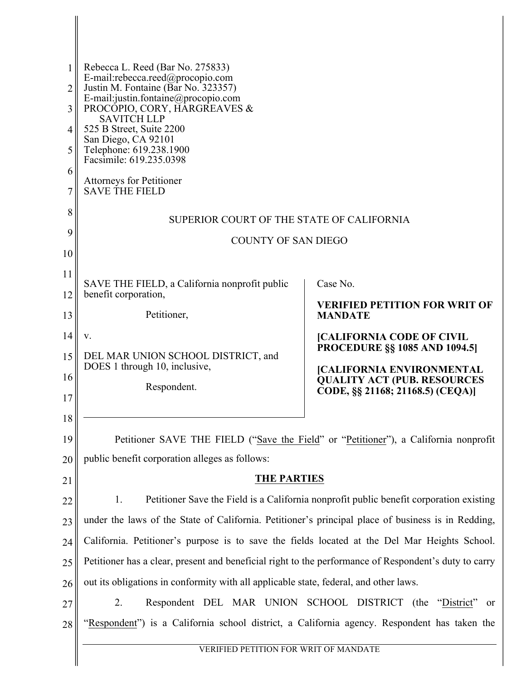| 1<br>2<br>3<br>4<br>5<br>6<br>7 | Rebecca L. Reed (Bar No. 275833)<br>E-mail:rebecca.reed@procopio.com<br>Justin M. Fontaine (Bar No. 323357)<br>E-mail: justin.fontaine@procopio.com<br>PROCÓPIO, CORY, HÁRGREAVES &<br><b>SAVITCH LLP</b><br>525 B Street, Suite 2200<br>San Diego, CA 92101<br>Telephone: 619.238.1900<br>Facsimile: 619.235.0398<br><b>Attorneys for Petitioner</b><br><b>SAVE THE FIELD</b> |                                                                                         |  |
|---------------------------------|--------------------------------------------------------------------------------------------------------------------------------------------------------------------------------------------------------------------------------------------------------------------------------------------------------------------------------------------------------------------------------|-----------------------------------------------------------------------------------------|--|
| 8                               | SUPERIOR COURT OF THE STATE OF CALIFORNIA                                                                                                                                                                                                                                                                                                                                      |                                                                                         |  |
| 9                               | <b>COUNTY OF SAN DIEGO</b>                                                                                                                                                                                                                                                                                                                                                     |                                                                                         |  |
| 10                              |                                                                                                                                                                                                                                                                                                                                                                                |                                                                                         |  |
| 11                              | SAVE THE FIELD, a California nonprofit public                                                                                                                                                                                                                                                                                                                                  | Case No.                                                                                |  |
| 12                              | benefit corporation,                                                                                                                                                                                                                                                                                                                                                           | <b>VERIFIED PETITION FOR WRIT OF</b>                                                    |  |
| 13                              | Petitioner,                                                                                                                                                                                                                                                                                                                                                                    | <b>MANDATE</b>                                                                          |  |
| 14                              | V.                                                                                                                                                                                                                                                                                                                                                                             | <b>[CALIFORNIA CODE OF CIVIL</b><br><b>PROCEDURE §§ 1085 AND 1094.5</b>                 |  |
| 15                              | DEL MAR UNION SCHOOL DISTRICT, and<br>DOES 1 through 10, inclusive,                                                                                                                                                                                                                                                                                                            |                                                                                         |  |
| 16                              | Respondent.                                                                                                                                                                                                                                                                                                                                                                    | <b>[CALIFORNIA ENVIRONMENTAL</b><br><b>QUALITY ACT (PUB. RESOURCES</b>                  |  |
| 17                              |                                                                                                                                                                                                                                                                                                                                                                                | CODE, §§ 21168; 21168.5) (CEQA)]                                                        |  |
| 18                              |                                                                                                                                                                                                                                                                                                                                                                                |                                                                                         |  |
| 19                              | Petitioner SAVE THE FIELD ("Save the Field" or "Petitioner"), a California nonprofit                                                                                                                                                                                                                                                                                           |                                                                                         |  |
| 20                              | public benefit corporation alleges as follows:                                                                                                                                                                                                                                                                                                                                 |                                                                                         |  |
| 21                              | <b>THE PARTIES</b>                                                                                                                                                                                                                                                                                                                                                             |                                                                                         |  |
| 22                              | 1.                                                                                                                                                                                                                                                                                                                                                                             | Petitioner Save the Field is a California nonprofit public benefit corporation existing |  |
| 23                              | under the laws of the State of California. Petitioner's principal place of business is in Redding,                                                                                                                                                                                                                                                                             |                                                                                         |  |
| 24                              | California. Petitioner's purpose is to save the fields located at the Del Mar Heights School.                                                                                                                                                                                                                                                                                  |                                                                                         |  |
| 25                              | Petitioner has a clear, present and beneficial right to the performance of Respondent's duty to carry                                                                                                                                                                                                                                                                          |                                                                                         |  |
| 26                              | out its obligations in conformity with all applicable state, federal, and other laws.                                                                                                                                                                                                                                                                                          |                                                                                         |  |
| 27                              | Respondent DEL MAR UNION SCHOOL DISTRICT (the<br>2.                                                                                                                                                                                                                                                                                                                            | "District"<br><sub>or</sub>                                                             |  |
| 28                              | "Respondent") is a California school district, a California agency. Respondent has taken the                                                                                                                                                                                                                                                                                   |                                                                                         |  |
|                                 | VERIFIED PETITION FOR WRIT OF MANDATE                                                                                                                                                                                                                                                                                                                                          |                                                                                         |  |
|                                 |                                                                                                                                                                                                                                                                                                                                                                                |                                                                                         |  |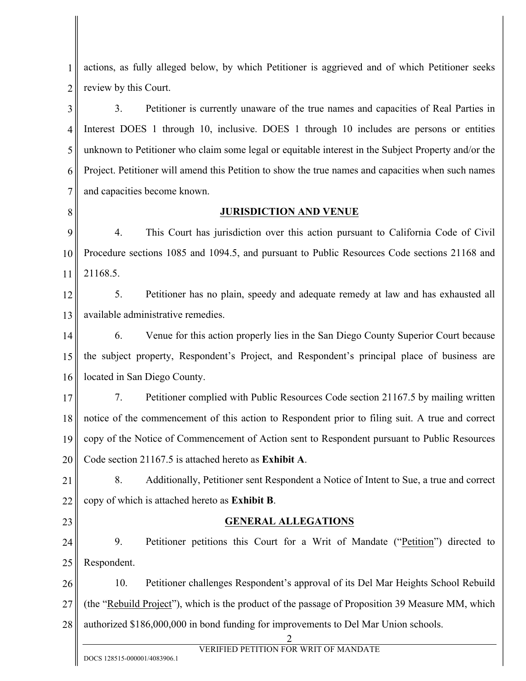1 2 actions, as fully alleged below, by which Petitioner is aggrieved and of which Petitioner seeks review by this Court.

3 4 5 6 7 3. Petitioner is currently unaware of the true names and capacities of Real Parties in Interest DOES 1 through 10, inclusive. DOES 1 through 10 includes are persons or entities unknown to Petitioner who claim some legal or equitable interest in the Subject Property and/or the Project. Petitioner will amend this Petition to show the true names and capacities when such names and capacities become known.

8

#### **JURISDICTION AND VENUE**

9 10 11 4. This Court has jurisdiction over this action pursuant to California Code of Civil Procedure sections 1085 and 1094.5, and pursuant to Public Resources Code sections 21168 and 21168.5.

12 13 5. Petitioner has no plain, speedy and adequate remedy at law and has exhausted all available administrative remedies.

14 15 16 6. Venue for this action properly lies in the San Diego County Superior Court because the subject property, Respondent's Project, and Respondent's principal place of business are located in San Diego County.

17 18 19 20 7. Petitioner complied with Public Resources Code section 21167.5 by mailing written notice of the commencement of this action to Respondent prior to filing suit. A true and correct copy of the Notice of Commencement of Action sent to Respondent pursuant to Public Resources Code section 21167.5 is attached hereto as **Exhibit A**.

21 22 8. Additionally, Petitioner sent Respondent a Notice of Intent to Sue, a true and correct copy of which is attached hereto as **Exhibit B**.

23

#### **GENERAL ALLEGATIONS**

24 25 9. Petitioner petitions this Court for a Writ of Mandate ("Petition") directed to Respondent.

26 27 28 10. Petitioner challenges Respondent's approval of its Del Mar Heights School Rebuild (the "Rebuild Project"), which is the product of the passage of Proposition 39 Measure MM, which authorized \$186,000,000 in bond funding for improvements to Del Mar Union schools.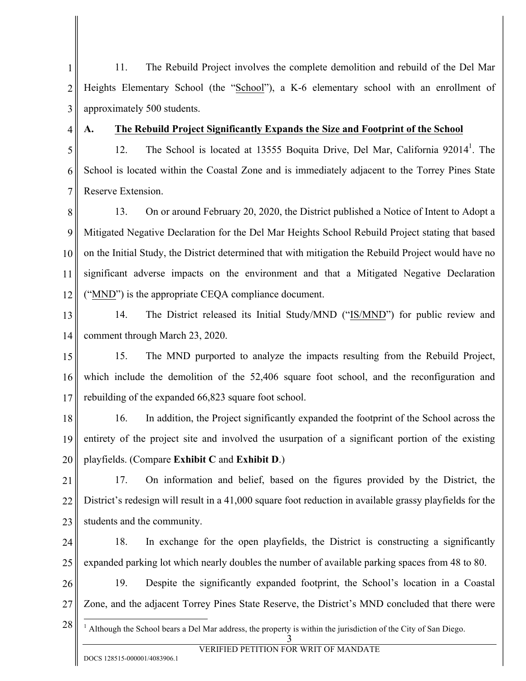1 2 3 11. The Rebuild Project involves the complete demolition and rebuild of the Del Mar Heights Elementary School (the "School"), a K-6 elementary school with an enrollment of approximately 500 students.

4

#### **A. The Rebuild Project Significantly Expands the Size and Footprint of the School**

5 6 7 12. The School is located at 13555 Boquita Drive, Del Mar, California 92014<sup>1</sup>. The School is located within the Coastal Zone and is immediately adjacent to the Torrey Pines State Reserve Extension.

8 9 10 11 12 13. On or around February 20, 2020, the District published a Notice of Intent to Adopt a Mitigated Negative Declaration for the Del Mar Heights School Rebuild Project stating that based on the Initial Study, the District determined that with mitigation the Rebuild Project would have no significant adverse impacts on the environment and that a Mitigated Negative Declaration ("MND") is the appropriate CEQA compliance document.

13 14 14. The District released its Initial Study/MND ("IS/MND") for public review and comment through March 23, 2020.

15 16 17 15. The MND purported to analyze the impacts resulting from the Rebuild Project, which include the demolition of the 52,406 square foot school, and the reconfiguration and rebuilding of the expanded 66,823 square foot school.

18 19 20 16. In addition, the Project significantly expanded the footprint of the School across the entirety of the project site and involved the usurpation of a significant portion of the existing playfields. (Compare **Exhibit C** and **Exhibit D**.)

21 22 23 17. On information and belief, based on the figures provided by the District, the District's redesign will result in a 41,000 square foot reduction in available grassy playfields for the students and the community.

24 25 18. In exchange for the open playfields, the District is constructing a significantly expanded parking lot which nearly doubles the number of available parking spaces from 48 to 80.

26 27 19. Despite the significantly expanded footprint, the School's location in a Coastal Zone, and the adjacent Torrey Pines State Reserve, the District's MND concluded that there were

28 3  $1$  Although the School bears a Del Mar address, the property is within the jurisdiction of the City of San Diego.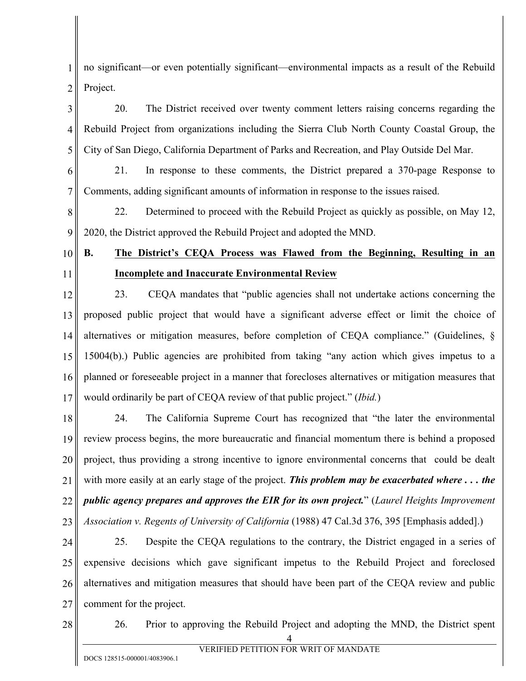1 2 no significant—or even potentially significant—environmental impacts as a result of the Rebuild Project.

3 4 5 20. The District received over twenty comment letters raising concerns regarding the Rebuild Project from organizations including the Sierra Club North County Coastal Group, the City of San Diego, California Department of Parks and Recreation, and Play Outside Del Mar.

6 7 21. In response to these comments, the District prepared a 370-page Response to Comments, adding significant amounts of information in response to the issues raised.

8 9 22. Determined to proceed with the Rebuild Project as quickly as possible, on May 12, 2020, the District approved the Rebuild Project and adopted the MND.

# 10

11

# **B. The District's CEQA Process was Flawed from the Beginning, Resulting in an Incomplete and Inaccurate Environmental Review**

12 13 14 15 16 17 23. CEQA mandates that "public agencies shall not undertake actions concerning the proposed public project that would have a significant adverse effect or limit the choice of alternatives or mitigation measures, before completion of CEQA compliance." (Guidelines, § 15004(b).) Public agencies are prohibited from taking "any action which gives impetus to a planned or foreseeable project in a manner that forecloses alternatives or mitigation measures that would ordinarily be part of CEQA review of that public project." (*Ibid.*)

18 19 20 21 22 23 24. The California Supreme Court has recognized that "the later the environmental review process begins, the more bureaucratic and financial momentum there is behind a proposed project, thus providing a strong incentive to ignore environmental concerns that could be dealt with more easily at an early stage of the project. *This problem may be exacerbated where . . . the public agency prepares and approves the EIR for its own project.*" (*Laurel Heights Improvement Association v. Regents of University of California* (1988) 47 Cal.3d 376, 395 [Emphasis added].)

24 25 26 27 25. Despite the CEQA regulations to the contrary, the District engaged in a series of expensive decisions which gave significant impetus to the Rebuild Project and foreclosed alternatives and mitigation measures that should have been part of the CEQA review and public comment for the project.

28

26. Prior to approving the Rebuild Project and adopting the MND, the District spent

<sup>4</sup>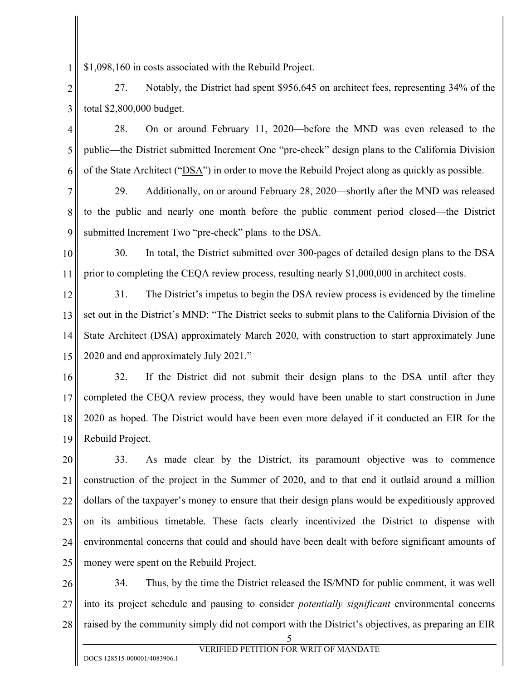1 \$1,098,160 in costs associated with the Rebuild Project.

2 3 27. Notably, the District had spent \$956,645 on architect fees, representing 34% of the total \$2,800,000 budget.

4 5 6 28. On or around February 11, 2020—before the MND was even released to the public—the District submitted Increment One "pre-check" design plans to the California Division of the State Architect ("DSA") in order to move the Rebuild Project along as quickly as possible.

7 8 9 29. Additionally, on or around February 28, 2020—shortly after the MND was released to the public and nearly one month before the public comment period closed—the District submitted Increment Two "pre-check" plans to the DSA.

10 11 30. In total, the District submitted over 300-pages of detailed design plans to the DSA prior to completing the CEQA review process, resulting nearly \$1,000,000 in architect costs.

12 13 14 15 31. The District's impetus to begin the DSA review process is evidenced by the timeline set out in the District's MND: "The District seeks to submit plans to the California Division of the State Architect (DSA) approximately March 2020, with construction to start approximately June 2020 and end approximately July 2021."

16 17 18 19 32. If the District did not submit their design plans to the DSA until after they completed the CEQA review process, they would have been unable to start construction in June 2020 as hoped. The District would have been even more delayed if it conducted an EIR for the Rebuild Project.

20 21 22 23 24 25 33. As made clear by the District, its paramount objective was to commence construction of the project in the Summer of 2020, and to that end it outlaid around a million dollars of the taxpayer's money to ensure that their design plans would be expeditiously approved on its ambitious timetable. These facts clearly incentivized the District to dispense with environmental concerns that could and should have been dealt with before significant amounts of money were spent on the Rebuild Project.

26 27 28 34. Thus, by the time the District released the IS/MND for public comment, it was well into its project schedule and pausing to consider *potentially significant* environmental concerns raised by the community simply did not comport with the District's objectives, as preparing an EIR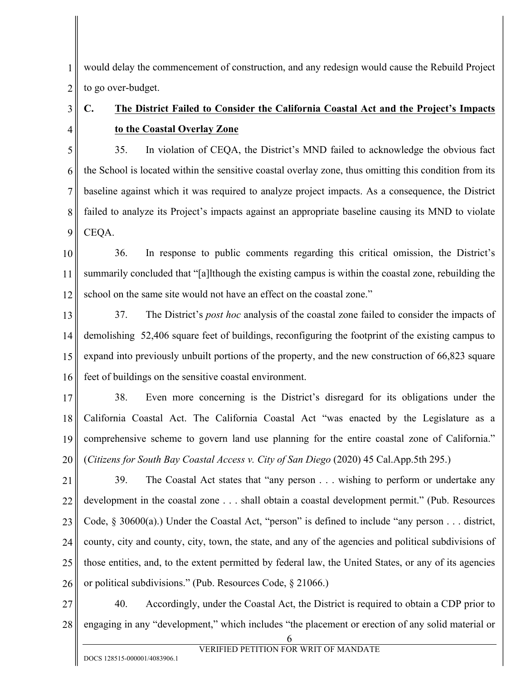1 2 would delay the commencement of construction, and any redesign would cause the Rebuild Project to go over-budget.

# **C. The District Failed to Consider the California Coastal Act and the Project's Impacts to the Coastal Overlay Zone**

5 6 7 8 9 35. In violation of CEQA, the District's MND failed to acknowledge the obvious fact the School is located within the sensitive coastal overlay zone, thus omitting this condition from its baseline against which it was required to analyze project impacts. As a consequence, the District failed to analyze its Project's impacts against an appropriate baseline causing its MND to violate CEQA.

10 11 12 36. In response to public comments regarding this critical omission, the District's summarily concluded that "[a]lthough the existing campus is within the coastal zone, rebuilding the school on the same site would not have an effect on the coastal zone."

13 14 15 16 37. The District's *post hoc* analysis of the coastal zone failed to consider the impacts of demolishing 52,406 square feet of buildings, reconfiguring the footprint of the existing campus to expand into previously unbuilt portions of the property, and the new construction of 66,823 square feet of buildings on the sensitive coastal environment.

17 18 19 20 38. Even more concerning is the District's disregard for its obligations under the California Coastal Act. The California Coastal Act "was enacted by the Legislature as a comprehensive scheme to govern land use planning for the entire coastal zone of California." (*Citizens for South Bay Coastal Access v. City of San Diego* (2020) 45 Cal.App.5th 295.)

21 22 23 24 25 26 39. The Coastal Act states that "any person . . . wishing to perform or undertake any development in the coastal zone . . . shall obtain a coastal development permit." (Pub. Resources Code,  $\S$  30600(a).) Under the Coastal Act, "person" is defined to include "any person . . . district, county, city and county, city, town, the state, and any of the agencies and political subdivisions of those entities, and, to the extent permitted by federal law, the United States, or any of its agencies or political subdivisions." (Pub. Resources Code, § 21066.)

27 28 40. Accordingly, under the Coastal Act, the District is required to obtain a CDP prior to engaging in any "development," which includes "the placement or erection of any solid material or

3

4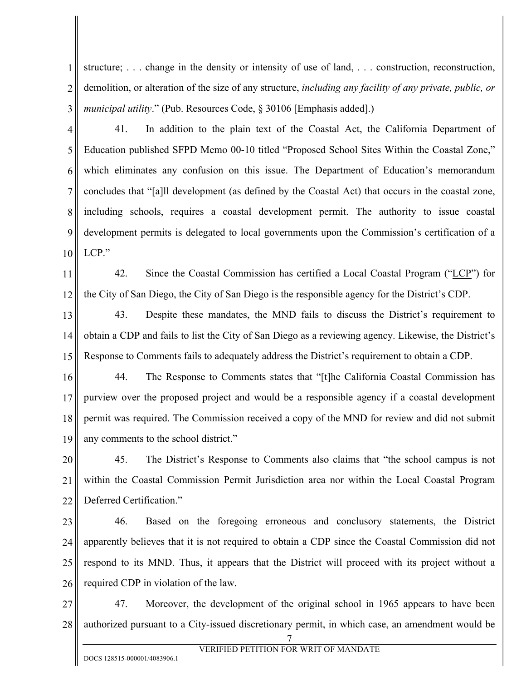1 2 3 structure; . . . change in the density or intensity of use of land, . . . construction, reconstruction, demolition, or alteration of the size of any structure, *including any facility of any private, public, or municipal utility*." (Pub. Resources Code, § 30106 [Emphasis added].)

41. In addition to the plain text of the Coastal Act, the California Department of

4

5 6 7 8 9 10 Education published SFPD Memo 00-10 titled "Proposed School Sites Within the Coastal Zone," which eliminates any confusion on this issue. The Department of Education's memorandum concludes that "[a]ll development (as defined by the Coastal Act) that occurs in the coastal zone, including schools, requires a coastal development permit. The authority to issue coastal development permits is delegated to local governments upon the Commission's certification of a LCP."

11 12 42. Since the Coastal Commission has certified a Local Coastal Program ("LCP") for the City of San Diego, the City of San Diego is the responsible agency for the District's CDP.

13 14 15 43. Despite these mandates, the MND fails to discuss the District's requirement to obtain a CDP and fails to list the City of San Diego as a reviewing agency. Likewise, the District's Response to Comments fails to adequately address the District's requirement to obtain a CDP.

16 17 18 19 44. The Response to Comments states that "[t]he California Coastal Commission has purview over the proposed project and would be a responsible agency if a coastal development permit was required. The Commission received a copy of the MND for review and did not submit any comments to the school district."

20 21 22 45. The District's Response to Comments also claims that "the school campus is not within the Coastal Commission Permit Jurisdiction area nor within the Local Coastal Program Deferred Certification."

23 24 25 26 46. Based on the foregoing erroneous and conclusory statements, the District apparently believes that it is not required to obtain a CDP since the Coastal Commission did not respond to its MND. Thus, it appears that the District will proceed with its project without a required CDP in violation of the law.

27 28 47. Moreover, the development of the original school in 1965 appears to have been authorized pursuant to a City-issued discretionary permit, in which case, an amendment would be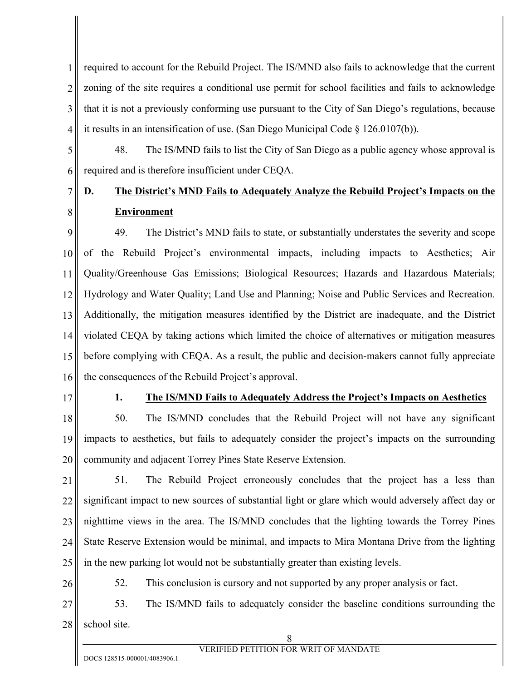1 2 3 4 required to account for the Rebuild Project. The IS/MND also fails to acknowledge that the current zoning of the site requires a conditional use permit for school facilities and fails to acknowledge that it is not a previously conforming use pursuant to the City of San Diego's regulations, because it results in an intensification of use. (San Diego Municipal Code § 126.0107(b)).

5 6 48. The IS/MND fails to list the City of San Diego as a public agency whose approval is required and is therefore insufficient under CEQA.

# **D. The District's MND Fails to Adequately Analyze the Rebuild Project's Impacts on the Environment**

9 10 11 12 13 14 15 16 49. The District's MND fails to state, or substantially understates the severity and scope of the Rebuild Project's environmental impacts, including impacts to Aesthetics; Air Quality/Greenhouse Gas Emissions; Biological Resources; Hazards and Hazardous Materials; Hydrology and Water Quality; Land Use and Planning; Noise and Public Services and Recreation. Additionally, the mitigation measures identified by the District are inadequate, and the District violated CEQA by taking actions which limited the choice of alternatives or mitigation measures before complying with CEQA. As a result, the public and decision-makers cannot fully appreciate the consequences of the Rebuild Project's approval.

17

7

8

## **1. The IS/MND Fails to Adequately Address the Project's Impacts on Aesthetics**

18 19 20 50. The IS/MND concludes that the Rebuild Project will not have any significant impacts to aesthetics, but fails to adequately consider the project's impacts on the surrounding community and adjacent Torrey Pines State Reserve Extension.

- 21 22 23 24 25 51. The Rebuild Project erroneously concludes that the project has a less than significant impact to new sources of substantial light or glare which would adversely affect day or nighttime views in the area. The IS/MND concludes that the lighting towards the Torrey Pines State Reserve Extension would be minimal, and impacts to Mira Montana Drive from the lighting in the new parking lot would not be substantially greater than existing levels.
- 26

52. This conclusion is cursory and not supported by any proper analysis or fact.

27 28 53. The IS/MND fails to adequately consider the baseline conditions surrounding the school site.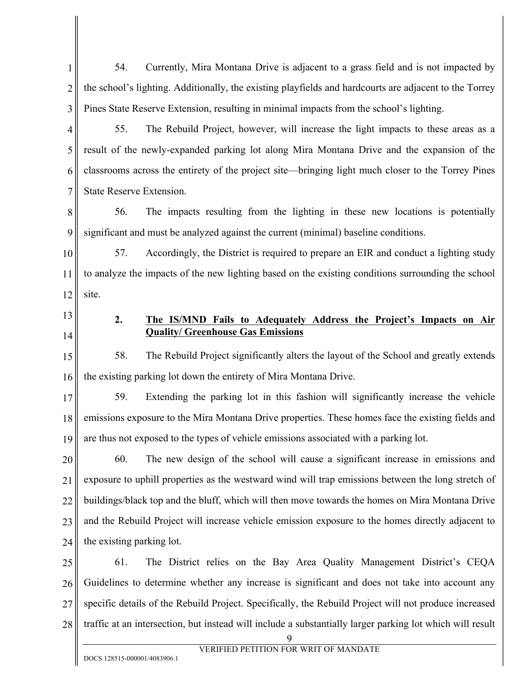1 2 3 54. Currently, Mira Montana Drive is adjacent to a grass field and is not impacted by the school's lighting. Additionally, the existing playfields and hardcourts are adjacent to the Torrey Pines State Reserve Extension, resulting in minimal impacts from the school's lighting.

4 5 6 7 55. The Rebuild Project, however, will increase the light impacts to these areas as a result of the newly-expanded parking lot along Mira Montana Drive and the expansion of the classrooms across the entirety of the project site—bringing light much closer to the Torrey Pines State Reserve Extension.

8 9 56. The impacts resulting from the lighting in these new locations is potentially significant and must be analyzed against the current (minimal) baseline conditions.

10 11 12 57. Accordingly, the District is required to prepare an EIR and conduct a lighting study to analyze the impacts of the new lighting based on the existing conditions surrounding the school site.

13 14

## **2. The IS/MND Fails to Adequately Address the Project's Impacts on Air Quality/ Greenhouse Gas Emissions**

15 16 58. The Rebuild Project significantly alters the layout of the School and greatly extends the existing parking lot down the entirety of Mira Montana Drive.

17 18 19 59. Extending the parking lot in this fashion will significantly increase the vehicle emissions exposure to the Mira Montana Drive properties. These homes face the existing fields and are thus not exposed to the types of vehicle emissions associated with a parking lot.

20 21 22 23 24 60. The new design of the school will cause a significant increase in emissions and exposure to uphill properties as the westward wind will trap emissions between the long stretch of buildings/black top and the bluff, which will then move towards the homes on Mira Montana Drive and the Rebuild Project will increase vehicle emission exposure to the homes directly adjacent to the existing parking lot.

25 26 27 28 61. The District relies on the Bay Area Quality Management District's CEQA Guidelines to determine whether any increase is significant and does not take into account any specific details of the Rebuild Project. Specifically, the Rebuild Project will not produce increased traffic at an intersection, but instead will include a substantially larger parking lot which will result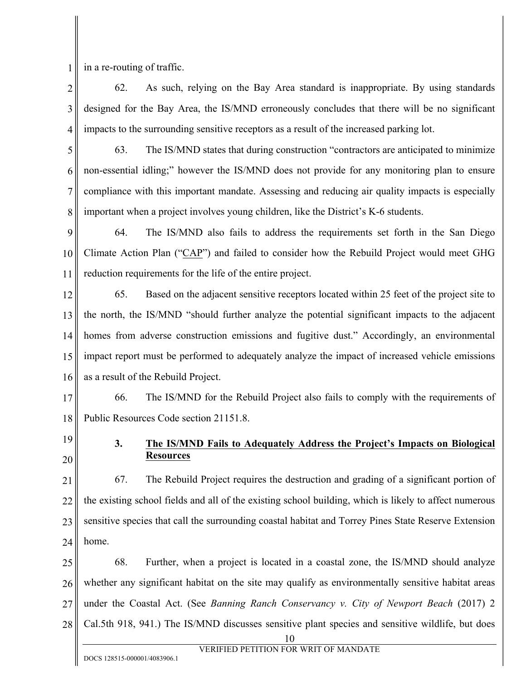1 in a re-routing of traffic.

2 3 4 62. As such, relying on the Bay Area standard is inappropriate. By using standards designed for the Bay Area, the IS/MND erroneously concludes that there will be no significant impacts to the surrounding sensitive receptors as a result of the increased parking lot.

5 6 7 8 63. The IS/MND states that during construction "contractors are anticipated to minimize non-essential idling;" however the IS/MND does not provide for any monitoring plan to ensure compliance with this important mandate. Assessing and reducing air quality impacts is especially important when a project involves young children, like the District's K-6 students.

9 10 11 64. The IS/MND also fails to address the requirements set forth in the San Diego Climate Action Plan ("CAP") and failed to consider how the Rebuild Project would meet GHG reduction requirements for the life of the entire project.

12 13 14 15 16 65. Based on the adjacent sensitive receptors located within 25 feet of the project site to the north, the IS/MND "should further analyze the potential significant impacts to the adjacent homes from adverse construction emissions and fugitive dust." Accordingly, an environmental impact report must be performed to adequately analyze the impact of increased vehicle emissions as a result of the Rebuild Project.

17 18 66. The IS/MND for the Rebuild Project also fails to comply with the requirements of Public Resources Code section 21151.8.

19

20

## **3. The IS/MND Fails to Adequately Address the Project's Impacts on Biological Resources**

21 22 23 24 67. The Rebuild Project requires the destruction and grading of a significant portion of the existing school fields and all of the existing school building, which is likely to affect numerous sensitive species that call the surrounding coastal habitat and Torrey Pines State Reserve Extension home.

25 26 27 28 68. Further, when a project is located in a coastal zone, the IS/MND should analyze whether any significant habitat on the site may qualify as environmentally sensitive habitat areas under the Coastal Act. (See *Banning Ranch Conservancy v. City of Newport Beach* (2017) 2 Cal.5th 918, 941.) The IS/MND discusses sensitive plant species and sensitive wildlife, but does

<sup>10</sup>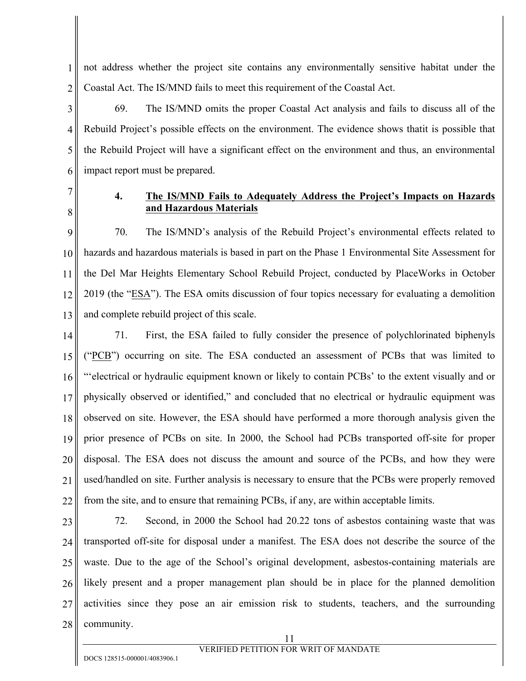1 2 not address whether the project site contains any environmentally sensitive habitat under the Coastal Act. The IS/MND fails to meet this requirement of the Coastal Act.

3 4 5 6 69. The IS/MND omits the proper Coastal Act analysis and fails to discuss all of the Rebuild Project's possible effects on the environment. The evidence shows thatit is possible that the Rebuild Project will have a significant effect on the environment and thus, an environmental impact report must be prepared.

7 8

### **4. The IS/MND Fails to Adequately Address the Project's Impacts on Hazards and Hazardous Materials**

9 10 11 12 13 70. The IS/MND's analysis of the Rebuild Project's environmental effects related to hazards and hazardous materials is based in part on the Phase 1 Environmental Site Assessment for the Del Mar Heights Elementary School Rebuild Project, conducted by PlaceWorks in October 2019 (the "ESA"). The ESA omits discussion of four topics necessary for evaluating a demolition and complete rebuild project of this scale.

14 15 16 17 18 19 20 21 22 71. First, the ESA failed to fully consider the presence of polychlorinated biphenyls ("PCB") occurring on site. The ESA conducted an assessment of PCBs that was limited to "'electrical or hydraulic equipment known or likely to contain PCBs' to the extent visually and or physically observed or identified," and concluded that no electrical or hydraulic equipment was observed on site. However, the ESA should have performed a more thorough analysis given the prior presence of PCBs on site. In 2000, the School had PCBs transported off-site for proper disposal. The ESA does not discuss the amount and source of the PCBs, and how they were used/handled on site. Further analysis is necessary to ensure that the PCBs were properly removed from the site, and to ensure that remaining PCBs, if any, are within acceptable limits.

23 24 25 26 27 28 72. Second, in 2000 the School had 20.22 tons of asbestos containing waste that was transported off-site for disposal under a manifest. The ESA does not describe the source of the waste. Due to the age of the School's original development, asbestos-containing materials are likely present and a proper management plan should be in place for the planned demolition activities since they pose an air emission risk to students, teachers, and the surrounding community.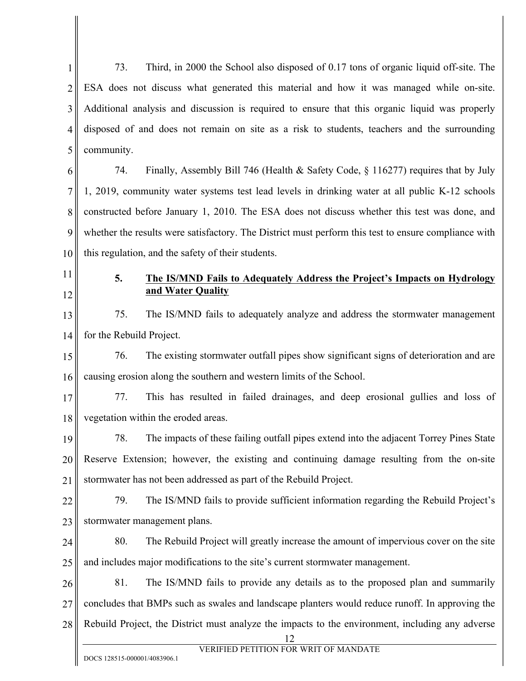1 2 3 4 5 73. Third, in 2000 the School also disposed of 0.17 tons of organic liquid off-site. The ESA does not discuss what generated this material and how it was managed while on-site. Additional analysis and discussion is required to ensure that this organic liquid was properly disposed of and does not remain on site as a risk to students, teachers and the surrounding community.

6 7 8 9 10 74. Finally, Assembly Bill 746 (Health & Safety Code, § 116277) requires that by July 1, 2019, community water systems test lead levels in drinking water at all public K-12 schools constructed before January 1, 2010. The ESA does not discuss whether this test was done, and whether the results were satisfactory. The District must perform this test to ensure compliance with this regulation, and the safety of their students.

11

12

## **5. The IS/MND Fails to Adequately Address the Project's Impacts on Hydrology and Water Quality**

13 14 75. The IS/MND fails to adequately analyze and address the stormwater management for the Rebuild Project.

15 16 76. The existing stormwater outfall pipes show significant signs of deterioration and are causing erosion along the southern and western limits of the School.

17 18 77. This has resulted in failed drainages, and deep erosional gullies and loss of vegetation within the eroded areas.

19 20 21 78. The impacts of these failing outfall pipes extend into the adjacent Torrey Pines State Reserve Extension; however, the existing and continuing damage resulting from the on-site stormwater has not been addressed as part of the Rebuild Project.

22 23 79. The IS/MND fails to provide sufficient information regarding the Rebuild Project's stormwater management plans.

24 25 80. The Rebuild Project will greatly increase the amount of impervious cover on the site and includes major modifications to the site's current stormwater management.

26 27 28 81. The IS/MND fails to provide any details as to the proposed plan and summarily concludes that BMPs such as swales and landscape planters would reduce runoff. In approving the Rebuild Project, the District must analyze the impacts to the environment, including any adverse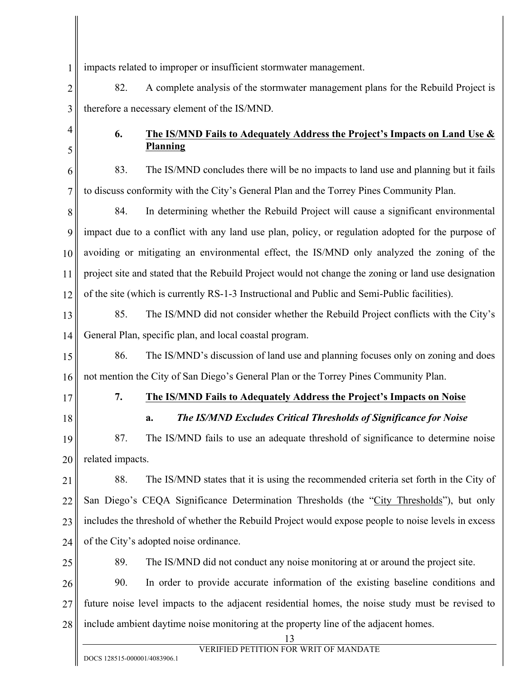1 impacts related to improper or insufficient stormwater management.

2 3 82. A complete analysis of the stormwater management plans for the Rebuild Project is therefore a necessary element of the IS/MND.

4 5

## **6. The IS/MND Fails to Adequately Address the Project's Impacts on Land Use & Planning**

6 7 83. The IS/MND concludes there will be no impacts to land use and planning but it fails to discuss conformity with the City's General Plan and the Torrey Pines Community Plan.

8 9 10 11 12 84. In determining whether the Rebuild Project will cause a significant environmental impact due to a conflict with any land use plan, policy, or regulation adopted for the purpose of avoiding or mitigating an environmental effect, the IS/MND only analyzed the zoning of the project site and stated that the Rebuild Project would not change the zoning or land use designation of the site (which is currently RS-1-3 Instructional and Public and Semi-Public facilities).

13 14 85. The IS/MND did not consider whether the Rebuild Project conflicts with the City's General Plan, specific plan, and local coastal program.

15 16 86. The IS/MND's discussion of land use and planning focuses only on zoning and does not mention the City of San Diego's General Plan or the Torrey Pines Community Plan.

17

18

## **7. The IS/MND Fails to Adequately Address the Project's Impacts on Noise**

## **a.** *The IS/MND Excludes Critical Thresholds of Significance for Noise*

19 20 87. The IS/MND fails to use an adequate threshold of significance to determine noise related impacts.

21 22 23 24 88. The IS/MND states that it is using the recommended criteria set forth in the City of San Diego's CEQA Significance Determination Thresholds (the "City Thresholds"), but only includes the threshold of whether the Rebuild Project would expose people to noise levels in excess of the City's adopted noise ordinance.

25

89. The IS/MND did not conduct any noise monitoring at or around the project site.

26 27 28 90. In order to provide accurate information of the existing baseline conditions and future noise level impacts to the adjacent residential homes, the noise study must be revised to include ambient daytime noise monitoring at the property line of the adjacent homes.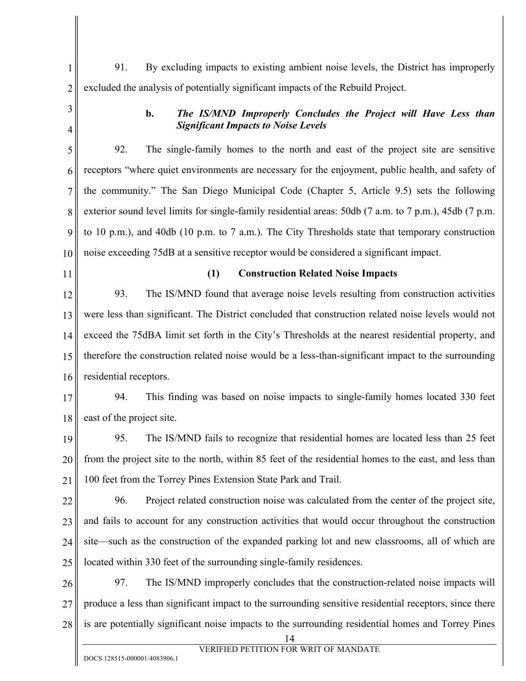1 2 91. By excluding impacts to existing ambient noise levels, the District has improperly excluded the analysis of potentially significant impacts of the Rebuild Project.

3 4

### **b.** *The IS/MND Improperly Concludes the Project will Have Less than Significant Impacts to Noise Levels*

5 6 7 8 9 10 92. The single-family homes to the north and east of the project site are sensitive receptors "where quiet environments are necessary for the enjoyment, public health, and safety of the community." The San Diego Municipal Code (Chapter 5, Article 9.5) sets the following exterior sound level limits for single-family residential areas: 50db (7 a.m. to 7 p.m.), 45db (7 p.m. to 10 p.m.), and 40db (10 p.m. to 7 a.m.). The City Thresholds state that temporary construction noise exceeding 75dB at a sensitive receptor would be considered a significant impact.

11

### **(1) Construction Related Noise Impacts**

12 13 14 15 16 93. The IS/MND found that average noise levels resulting from construction activities were less than significant. The District concluded that construction related noise levels would not exceed the 75dBA limit set forth in the City's Thresholds at the nearest residential property, and therefore the construction related noise would be a less-than-significant impact to the surrounding residential receptors.

17 18 94. This finding was based on noise impacts to single-family homes located 330 feet east of the project site.

19 20 21 95. The IS/MND fails to recognize that residential homes are located less than 25 feet from the project site to the north, within 85 feet of the residential homes to the east, and less than 100 feet from the Torrey Pines Extension State Park and Trail.

22 23 24 25 96. Project related construction noise was calculated from the center of the project site, and fails to account for any construction activities that would occur throughout the construction site—such as the construction of the expanded parking lot and new classrooms, all of which are located within 330 feet of the surrounding single-family residences.

26 27 28 97. The IS/MND improperly concludes that the construction-related noise impacts will produce a less than significant impact to the surrounding sensitive residential receptors, since there is are potentially significant noise impacts to the surrounding residential homes and Torrey Pines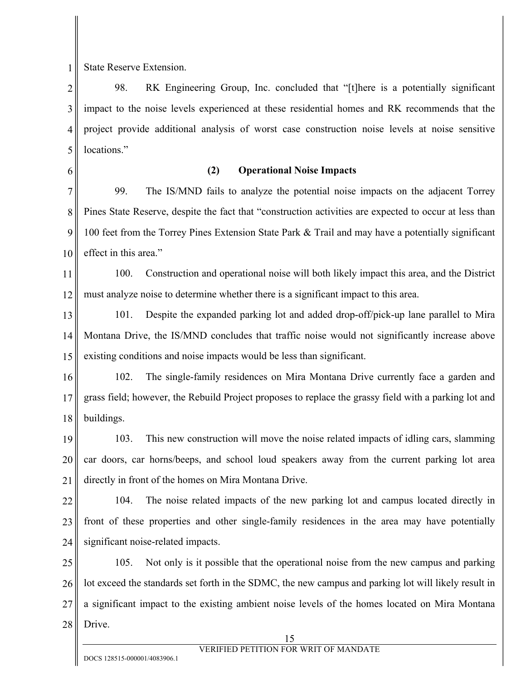1 State Reserve Extension.

2 3 4 5 98. RK Engineering Group, Inc. concluded that "[t]here is a potentially significant impact to the noise levels experienced at these residential homes and RK recommends that the project provide additional analysis of worst case construction noise levels at noise sensitive locations."

6

## **(2) Operational Noise Impacts**

7 8 9 10 99. The IS/MND fails to analyze the potential noise impacts on the adjacent Torrey Pines State Reserve, despite the fact that "construction activities are expected to occur at less than 100 feet from the Torrey Pines Extension State Park & Trail and may have a potentially significant effect in this area."

11 12 100. Construction and operational noise will both likely impact this area, and the District must analyze noise to determine whether there is a significant impact to this area.

13 14 15 101. Despite the expanded parking lot and added drop-off/pick-up lane parallel to Mira Montana Drive, the IS/MND concludes that traffic noise would not significantly increase above existing conditions and noise impacts would be less than significant.

16 17 18 102. The single-family residences on Mira Montana Drive currently face a garden and grass field; however, the Rebuild Project proposes to replace the grassy field with a parking lot and buildings.

19 20 21 103. This new construction will move the noise related impacts of idling cars, slamming car doors, car horns/beeps, and school loud speakers away from the current parking lot area directly in front of the homes on Mira Montana Drive.

22 23 24 104. The noise related impacts of the new parking lot and campus located directly in front of these properties and other single-family residences in the area may have potentially significant noise-related impacts.

25 26 27 28 105. Not only is it possible that the operational noise from the new campus and parking lot exceed the standards set forth in the SDMC, the new campus and parking lot will likely result in a significant impact to the existing ambient noise levels of the homes located on Mira Montana Drive.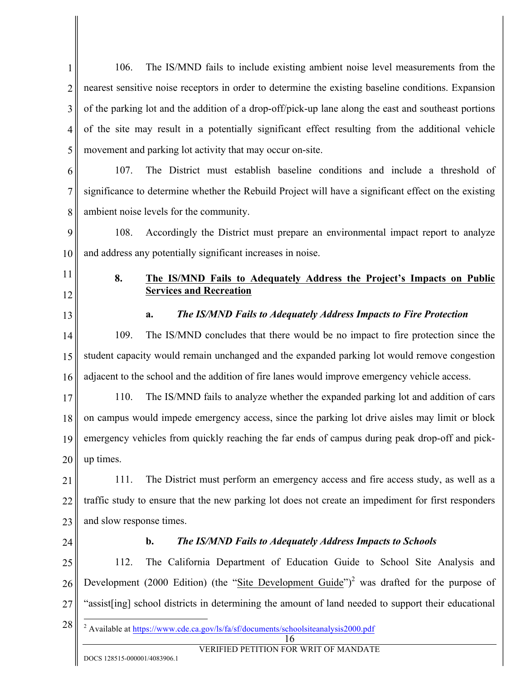1 2 3 4 5 6 7 8 9 10 11 12 13 14 15 16 17 18 19 20 21 22 23 24 25 26 27 28 16 VERIFIED PETITION FOR WRIT OF MANDATE DOCS 128515-000001/4083906.1 106. The IS/MND fails to include existing ambient noise level measurements from the nearest sensitive noise receptors in order to determine the existing baseline conditions. Expansion of the parking lot and the addition of a drop-off/pick-up lane along the east and southeast portions of the site may result in a potentially significant effect resulting from the additional vehicle movement and parking lot activity that may occur on-site. 107. The District must establish baseline conditions and include a threshold of significance to determine whether the Rebuild Project will have a significant effect on the existing ambient noise levels for the community. 108. Accordingly the District must prepare an environmental impact report to analyze and address any potentially significant increases in noise. **8. The IS/MND Fails to Adequately Address the Project's Impacts on Public Services and Recreation a.** *The IS/MND Fails to Adequately Address Impacts to Fire Protection* 109. The IS/MND concludes that there would be no impact to fire protection since the student capacity would remain unchanged and the expanded parking lot would remove congestion adjacent to the school and the addition of fire lanes would improve emergency vehicle access. 110. The IS/MND fails to analyze whether the expanded parking lot and addition of cars on campus would impede emergency access, since the parking lot drive aisles may limit or block emergency vehicles from quickly reaching the far ends of campus during peak drop-off and pickup times. 111. The District must perform an emergency access and fire access study, as well as a traffic study to ensure that the new parking lot does not create an impediment for first responders and slow response times. **b.** *The IS/MND Fails to Adequately Address Impacts to Schools*  112. The California Department of Education Guide to School Site Analysis and Development (2000 Edition) (the "Site Development Guide")<sup>2</sup> was drafted for the purpose of "assist[ing] school districts in determining the amount of land needed to support their educational <sup>2</sup> Available at https://www.cde.ca.gov/ls/fa/sf/documents/schoolsiteanalysis2000.pdf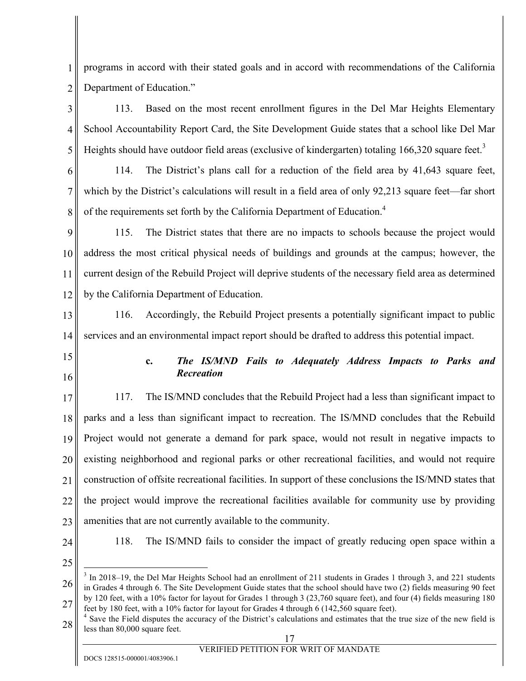1 2 programs in accord with their stated goals and in accord with recommendations of the California Department of Education."

3 4 5 113. Based on the most recent enrollment figures in the Del Mar Heights Elementary School Accountability Report Card, the Site Development Guide states that a school like Del Mar Heights should have outdoor field areas (exclusive of kindergarten) totaling 166,320 square feet.<sup>3</sup>

6

7

8

114. The District's plans call for a reduction of the field area by 41,643 square feet, which by the District's calculations will result in a field area of only 92,213 square feet—far short of the requirements set forth by the California Department of Education.<sup>4</sup>

9 10 11 12 115. The District states that there are no impacts to schools because the project would address the most critical physical needs of buildings and grounds at the campus; however, the current design of the Rebuild Project will deprive students of the necessary field area as determined by the California Department of Education.

13 14 116. Accordingly, the Rebuild Project presents a potentially significant impact to public services and an environmental impact report should be drafted to address this potential impact.

- 15
- 16

## **c.** *The IS/MND Fails to Adequately Address Impacts to Parks and Recreation*

17 18 19 20 21 22 23 117. The IS/MND concludes that the Rebuild Project had a less than significant impact to parks and a less than significant impact to recreation. The IS/MND concludes that the Rebuild Project would not generate a demand for park space, would not result in negative impacts to existing neighborhood and regional parks or other recreational facilities, and would not require construction of offsite recreational facilities. In support of these conclusions the IS/MND states that the project would improve the recreational facilities available for community use by providing amenities that are not currently available to the community.

24

118. The IS/MND fails to consider the impact of greatly reducing open space within a

25

27

26 <sup>3</sup> In 2018–19, the Del Mar Heights School had an enrollment of 211 students in Grades 1 through 3, and 221 students in Grades 4 through 6. The Site Development Guide states that the school should have two (2) fields measuring 90 feet by 120 feet, with a 10% factor for layout for Grades 1 through 3 (23,760 square feet), and four (4) fields measuring 180

28 feet by 180 feet, with a 10% factor for layout for Grades 4 through 6 (142,560 square feet). 4 Save the Field disputes the accuracy of the District's calculations and estimates that the true size of the new field is less than 80,000 square feet.

## VERIFIED PETITION FOR WRIT OF MANDATE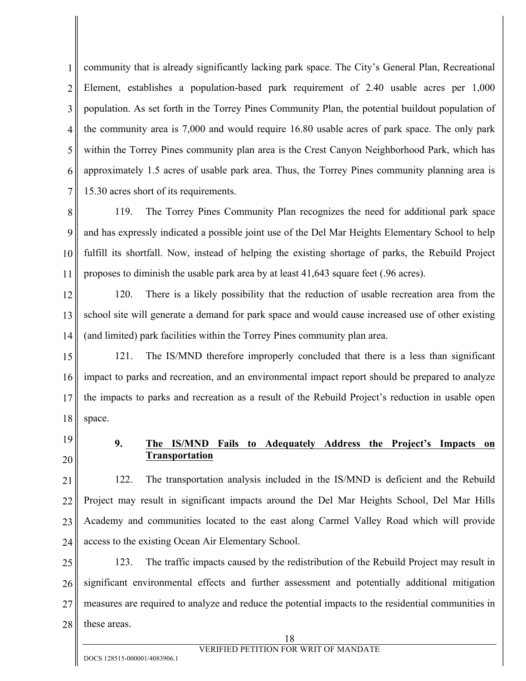1 2 3 4 5 6 7 community that is already significantly lacking park space. The City's General Plan, Recreational Element, establishes a population-based park requirement of 2.40 usable acres per 1,000 population. As set forth in the Torrey Pines Community Plan, the potential buildout population of the community area is 7,000 and would require 16.80 usable acres of park space. The only park within the Torrey Pines community plan area is the Crest Canyon Neighborhood Park, which has approximately 1.5 acres of usable park area. Thus, the Torrey Pines community planning area is 15.30 acres short of its requirements.

8 9 10 11 119. The Torrey Pines Community Plan recognizes the need for additional park space and has expressly indicated a possible joint use of the Del Mar Heights Elementary School to help fulfill its shortfall. Now, instead of helping the existing shortage of parks, the Rebuild Project proposes to diminish the usable park area by at least 41,643 square feet (.96 acres).

12 13 14 120. There is a likely possibility that the reduction of usable recreation area from the school site will generate a demand for park space and would cause increased use of other existing (and limited) park facilities within the Torrey Pines community plan area.

15 16 17 18 121. The IS/MND therefore improperly concluded that there is a less than significant impact to parks and recreation, and an environmental impact report should be prepared to analyze the impacts to parks and recreation as a result of the Rebuild Project's reduction in usable open space.

19 20

### **9. The IS/MND Fails to Adequately Address the Project's Impacts on Transportation**

21 22 23 24 122. The transportation analysis included in the IS/MND is deficient and the Rebuild Project may result in significant impacts around the Del Mar Heights School, Del Mar Hills Academy and communities located to the east along Carmel Valley Road which will provide access to the existing Ocean Air Elementary School.

25 26 27 28 123. The traffic impacts caused by the redistribution of the Rebuild Project may result in significant environmental effects and further assessment and potentially additional mitigation measures are required to analyze and reduce the potential impacts to the residential communities in these areas.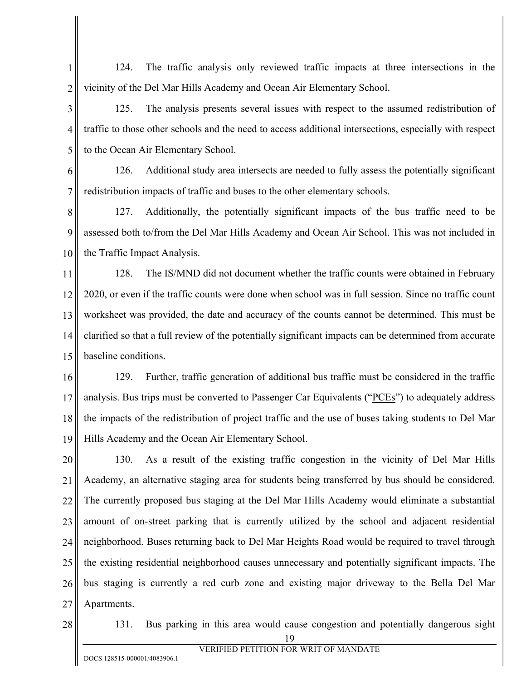1 2 124. The traffic analysis only reviewed traffic impacts at three intersections in the vicinity of the Del Mar Hills Academy and Ocean Air Elementary School.

3 4 5 125. The analysis presents several issues with respect to the assumed redistribution of traffic to those other schools and the need to access additional intersections, especially with respect to the Ocean Air Elementary School.

6 7 126. Additional study area intersects are needed to fully assess the potentially significant redistribution impacts of traffic and buses to the other elementary schools.

8 9 10 127. Additionally, the potentially significant impacts of the bus traffic need to be assessed both to/from the Del Mar Hills Academy and Ocean Air School. This was not included in the Traffic Impact Analysis.

11 12 13 14 15 128. The IS/MND did not document whether the traffic counts were obtained in February 2020, or even if the traffic counts were done when school was in full session. Since no traffic count worksheet was provided, the date and accuracy of the counts cannot be determined. This must be clarified so that a full review of the potentially significant impacts can be determined from accurate baseline conditions.

16 17 18 19 129. Further, traffic generation of additional bus traffic must be considered in the traffic analysis. Bus trips must be converted to Passenger Car Equivalents ("PCEs") to adequately address the impacts of the redistribution of project traffic and the use of buses taking students to Del Mar Hills Academy and the Ocean Air Elementary School.

20 21 22 23 24 25 26 27 130. As a result of the existing traffic congestion in the vicinity of Del Mar Hills Academy, an alternative staging area for students being transferred by bus should be considered. The currently proposed bus staging at the Del Mar Hills Academy would eliminate a substantial amount of on-street parking that is currently utilized by the school and adjacent residential neighborhood. Buses returning back to Del Mar Heights Road would be required to travel through the existing residential neighborhood causes unnecessary and potentially significant impacts. The bus staging is currently a red curb zone and existing major driveway to the Bella Del Mar Apartments.

28

131. Bus parking in this area would cause congestion and potentially dangerous sight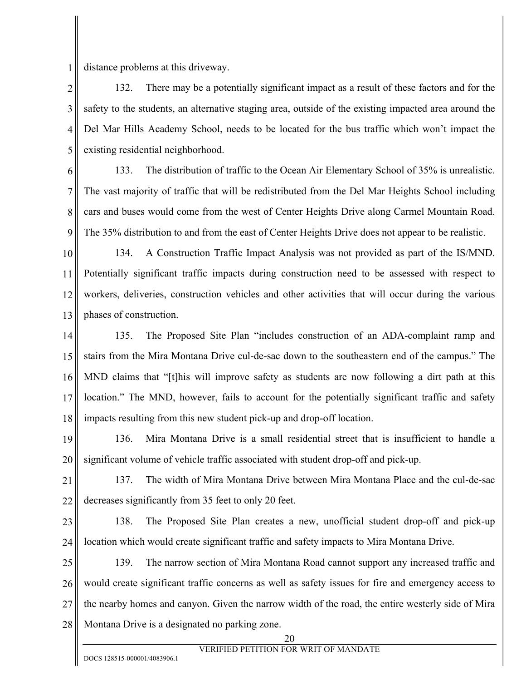1 distance problems at this driveway.

2 3 4 5 132. There may be a potentially significant impact as a result of these factors and for the safety to the students, an alternative staging area, outside of the existing impacted area around the Del Mar Hills Academy School, needs to be located for the bus traffic which won't impact the existing residential neighborhood.

6 7 8 9 133. The distribution of traffic to the Ocean Air Elementary School of 35% is unrealistic. The vast majority of traffic that will be redistributed from the Del Mar Heights School including cars and buses would come from the west of Center Heights Drive along Carmel Mountain Road. The 35% distribution to and from the east of Center Heights Drive does not appear to be realistic.

10 11 12 13 134. A Construction Traffic Impact Analysis was not provided as part of the IS/MND. Potentially significant traffic impacts during construction need to be assessed with respect to workers, deliveries, construction vehicles and other activities that will occur during the various phases of construction.

14 15 16 17 18 135. The Proposed Site Plan "includes construction of an ADA-complaint ramp and stairs from the Mira Montana Drive cul-de-sac down to the southeastern end of the campus." The MND claims that "[t]his will improve safety as students are now following a dirt path at this location." The MND, however, fails to account for the potentially significant traffic and safety impacts resulting from this new student pick-up and drop-off location.

19 20 136. Mira Montana Drive is a small residential street that is insufficient to handle a significant volume of vehicle traffic associated with student drop-off and pick-up.

21 22 137. The width of Mira Montana Drive between Mira Montana Place and the cul-de-sac decreases significantly from 35 feet to only 20 feet.

23 24 138. The Proposed Site Plan creates a new, unofficial student drop-off and pick-up location which would create significant traffic and safety impacts to Mira Montana Drive.

25 26 27 28 139. The narrow section of Mira Montana Road cannot support any increased traffic and would create significant traffic concerns as well as safety issues for fire and emergency access to the nearby homes and canyon. Given the narrow width of the road, the entire westerly side of Mira Montana Drive is a designated no parking zone.

20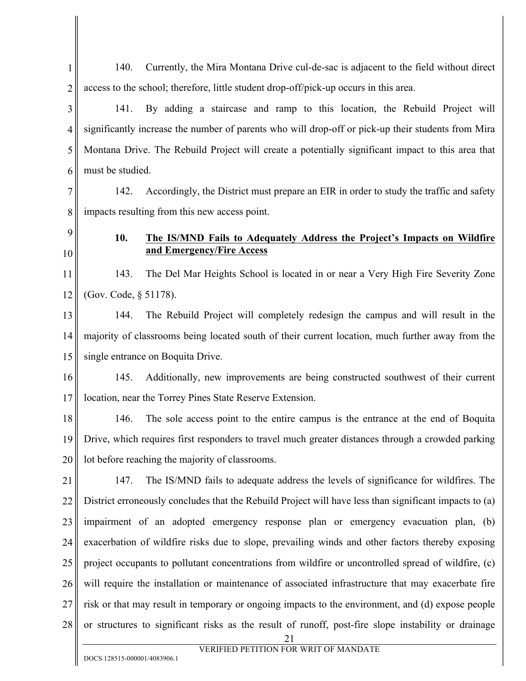2 3 4 5 6 7 8 9 10 11 12 access to the school; therefore, little student drop-off/pick-up occurs in this area. 141. By adding a staircase and ramp to this location, the Rebuild Project will significantly increase the number of parents who will drop-off or pick-up their students from Mira Montana Drive. The Rebuild Project will create a potentially significant impact to this area that must be studied. 142. Accordingly, the District must prepare an EIR in order to study the traffic and safety impacts resulting from this new access point. **10. The IS/MND Fails to Adequately Address the Project's Impacts on Wildfire and Emergency/Fire Access**  143. The Del Mar Heights School is located in or near a Very High Fire Severity Zone (Gov. Code, § 51178).

140. Currently, the Mira Montana Drive cul-de-sac is adjacent to the field without direct

13 14 15 144. The Rebuild Project will completely redesign the campus and will result in the majority of classrooms being located south of their current location, much further away from the single entrance on Boquita Drive.

16 17 145. Additionally, new improvements are being constructed southwest of their current location, near the Torrey Pines State Reserve Extension.

18 19 20 146. The sole access point to the entire campus is the entrance at the end of Boquita Drive, which requires first responders to travel much greater distances through a crowded parking lot before reaching the majority of classrooms.

21 22 23 24 25 26 27 28 147. The IS/MND fails to adequate address the levels of significance for wildfires. The District erroneously concludes that the Rebuild Project will have less than significant impacts to (a) impairment of an adopted emergency response plan or emergency evacuation plan, (b) exacerbation of wildfire risks due to slope, prevailing winds and other factors thereby exposing project occupants to pollutant concentrations from wildfire or uncontrolled spread of wildfire, (c) will require the installation or maintenance of associated infrastructure that may exacerbate fire risk or that may result in temporary or ongoing impacts to the environment, and (d) expose people or structures to significant risks as the result of runoff, post-fire slope instability or drainage

1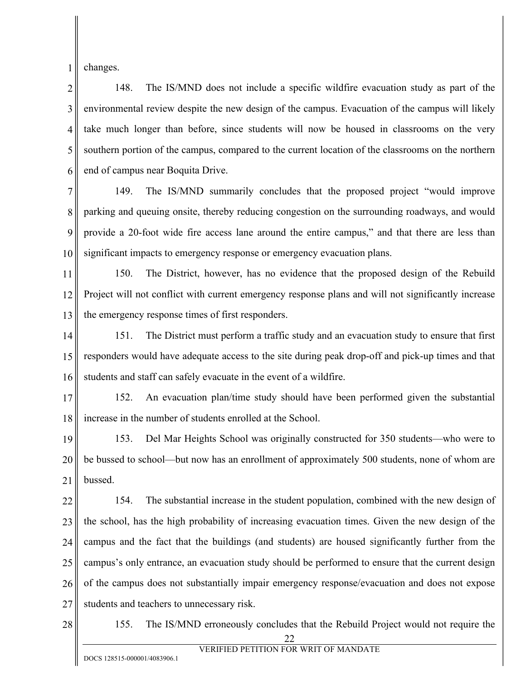1 changes.

2 3 4 5 6 148. The IS/MND does not include a specific wildfire evacuation study as part of the environmental review despite the new design of the campus. Evacuation of the campus will likely take much longer than before, since students will now be housed in classrooms on the very southern portion of the campus, compared to the current location of the classrooms on the northern end of campus near Boquita Drive.

7 8 9 10 149. The IS/MND summarily concludes that the proposed project "would improve parking and queuing onsite, thereby reducing congestion on the surrounding roadways, and would provide a 20-foot wide fire access lane around the entire campus," and that there are less than significant impacts to emergency response or emergency evacuation plans.

11 12 13 150. The District, however, has no evidence that the proposed design of the Rebuild Project will not conflict with current emergency response plans and will not significantly increase the emergency response times of first responders.

14 15 16 151. The District must perform a traffic study and an evacuation study to ensure that first responders would have adequate access to the site during peak drop-off and pick-up times and that students and staff can safely evacuate in the event of a wildfire.

17 18 152. An evacuation plan/time study should have been performed given the substantial increase in the number of students enrolled at the School.

19 20 21 153. Del Mar Heights School was originally constructed for 350 students—who were to be bussed to school—but now has an enrollment of approximately 500 students, none of whom are bussed.

22 23 24 25 26 27 154. The substantial increase in the student population, combined with the new design of the school, has the high probability of increasing evacuation times. Given the new design of the campus and the fact that the buildings (and students) are housed significantly further from the campus's only entrance, an evacuation study should be performed to ensure that the current design of the campus does not substantially impair emergency response/evacuation and does not expose students and teachers to unnecessary risk.

28

155. The IS/MND erroneously concludes that the Rebuild Project would not require the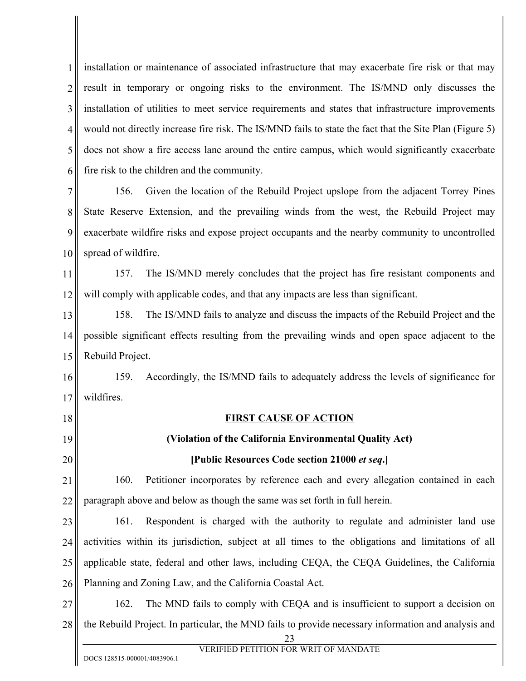1 2 3 4 5 6 installation or maintenance of associated infrastructure that may exacerbate fire risk or that may result in temporary or ongoing risks to the environment. The IS/MND only discusses the installation of utilities to meet service requirements and states that infrastructure improvements would not directly increase fire risk. The IS/MND fails to state the fact that the Site Plan (Figure 5) does not show a fire access lane around the entire campus, which would significantly exacerbate fire risk to the children and the community.

7 8 9 10 156. Given the location of the Rebuild Project upslope from the adjacent Torrey Pines State Reserve Extension, and the prevailing winds from the west, the Rebuild Project may exacerbate wildfire risks and expose project occupants and the nearby community to uncontrolled spread of wildfire.

11 12 157. The IS/MND merely concludes that the project has fire resistant components and will comply with applicable codes, and that any impacts are less than significant.

13 14 15 158. The IS/MND fails to analyze and discuss the impacts of the Rebuild Project and the possible significant effects resulting from the prevailing winds and open space adjacent to the Rebuild Project.

16 17 159. Accordingly, the IS/MND fails to adequately address the levels of significance for wildfires.

18 19

20

### **FIRST CAUSE OF ACTION**

### **(Violation of the California Environmental Quality Act)**

#### **[Public Resources Code section 21000** *et seq***.]**

21 22 160. Petitioner incorporates by reference each and every allegation contained in each paragraph above and below as though the same was set forth in full herein.

23 24 25 26 161. Respondent is charged with the authority to regulate and administer land use activities within its jurisdiction, subject at all times to the obligations and limitations of all applicable state, federal and other laws, including CEQA, the CEQA Guidelines, the California Planning and Zoning Law, and the California Coastal Act.

27 28 162. The MND fails to comply with CEQA and is insufficient to support a decision on the Rebuild Project. In particular, the MND fails to provide necessary information and analysis and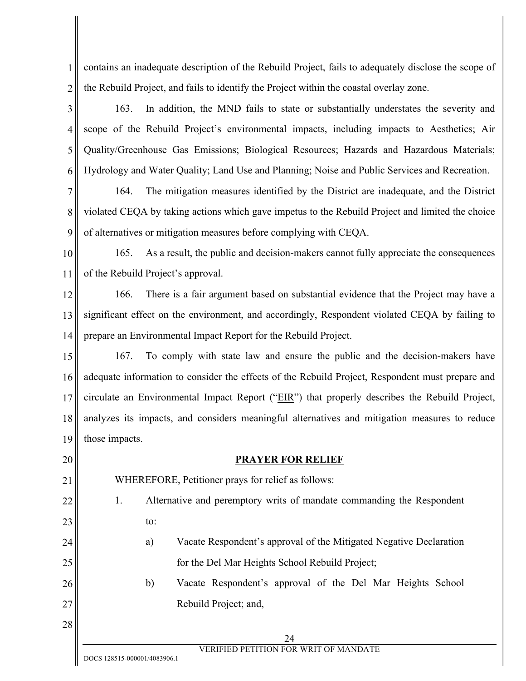1 2 contains an inadequate description of the Rebuild Project, fails to adequately disclose the scope of the Rebuild Project, and fails to identify the Project within the coastal overlay zone.

3 4 5 6 163. In addition, the MND fails to state or substantially understates the severity and scope of the Rebuild Project's environmental impacts, including impacts to Aesthetics; Air Quality/Greenhouse Gas Emissions; Biological Resources; Hazards and Hazardous Materials; Hydrology and Water Quality; Land Use and Planning; Noise and Public Services and Recreation.

7 8 9 164. The mitigation measures identified by the District are inadequate, and the District violated CEQA by taking actions which gave impetus to the Rebuild Project and limited the choice of alternatives or mitigation measures before complying with CEQA.

10 11 165. As a result, the public and decision-makers cannot fully appreciate the consequences of the Rebuild Project's approval.

12 13 14 166. There is a fair argument based on substantial evidence that the Project may have a significant effect on the environment, and accordingly, Respondent violated CEQA by failing to prepare an Environmental Impact Report for the Rebuild Project.

15 16 17 18 19 167. To comply with state law and ensure the public and the decision-makers have adequate information to consider the effects of the Rebuild Project, Respondent must prepare and circulate an Environmental Impact Report ("EIR") that properly describes the Rebuild Project, analyzes its impacts, and considers meaningful alternatives and mitigation measures to reduce those impacts.

20 21 22 23 24 25 26 27 28 24 VERIFIED PETITION FOR WRIT OF MANDATE DOCS 128515-000001/4083906.1 **PRAYER FOR RELIEF**  WHEREFORE, Petitioner prays for relief as follows: 1. Alternative and peremptory writs of mandate commanding the Respondent to: a) Vacate Respondent's approval of the Mitigated Negative Declaration for the Del Mar Heights School Rebuild Project; b) Vacate Respondent's approval of the Del Mar Heights School Rebuild Project; and,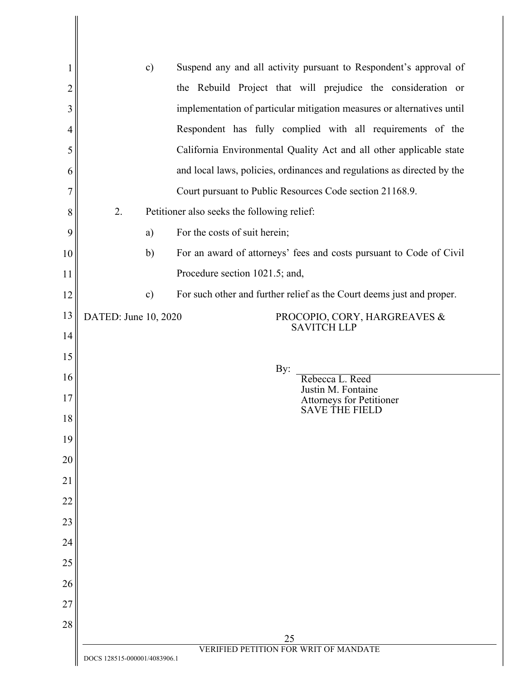| 1              | $\mathbf{c})$                                                                | Suspend any and all activity pursuant to Respondent's approval of       |  |
|----------------|------------------------------------------------------------------------------|-------------------------------------------------------------------------|--|
| $\overline{2}$ |                                                                              | the Rebuild Project that will prejudice the consideration or            |  |
| 3              |                                                                              | implementation of particular mitigation measures or alternatives until  |  |
| 4              |                                                                              | Respondent has fully complied with all requirements of the              |  |
| 5              |                                                                              | California Environmental Quality Act and all other applicable state     |  |
| 6              |                                                                              | and local laws, policies, ordinances and regulations as directed by the |  |
| 7              |                                                                              | Court pursuant to Public Resources Code section 21168.9.                |  |
| 8              | 2.<br>Petitioner also seeks the following relief:                            |                                                                         |  |
| 9              | a)                                                                           | For the costs of suit herein;                                           |  |
| 10             | b)                                                                           | For an award of attorneys' fees and costs pursuant to Code of Civil     |  |
| 11             |                                                                              | Procedure section 1021.5; and,                                          |  |
| 12             | $\mathbf{c})$                                                                | For such other and further relief as the Court deems just and proper.   |  |
| 13             | DATED: June 10, 2020                                                         | PROCOPIO, CORY, HARGREAVES &<br><b>SAVITCH LLP</b>                      |  |
| 14             |                                                                              |                                                                         |  |
| 15             |                                                                              | By:                                                                     |  |
| 16             |                                                                              | Rebecca L. Reed<br>Justin M. Fontaine                                   |  |
| 17             |                                                                              | Attorneys for Petitioner<br><b>SAVE THE FIELD</b>                       |  |
| 18             |                                                                              |                                                                         |  |
| 19             |                                                                              |                                                                         |  |
| 20             |                                                                              |                                                                         |  |
| 21             |                                                                              |                                                                         |  |
| 22             |                                                                              |                                                                         |  |
| 23             |                                                                              |                                                                         |  |
| 24             |                                                                              |                                                                         |  |
| 25             |                                                                              |                                                                         |  |
| 26             |                                                                              |                                                                         |  |
| 27<br>28       |                                                                              |                                                                         |  |
|                |                                                                              | 25                                                                      |  |
|                | <b>VERIFIED PETITION FOR WRIT OF MANDATE</b><br>DOCS 128515-000001/4083906.1 |                                                                         |  |